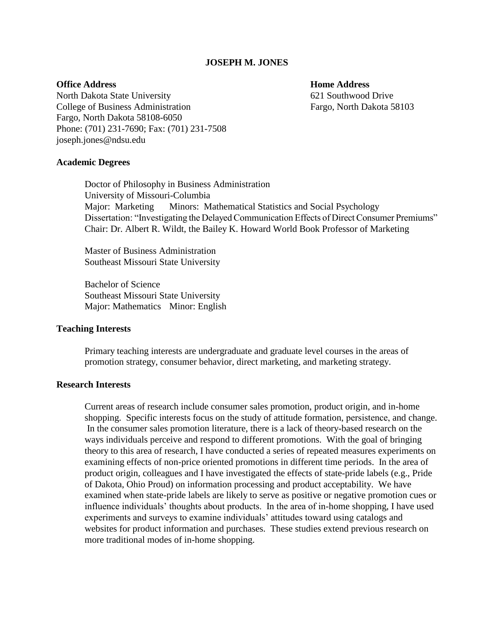#### **JOSEPH M. JONES**

**Academic Degrees**

# **Office Address Home Address Home Address**

North Dakota State University 621 Southwood Drive College of Business Administration Fargo, North Dakota 58103 Fargo, North Dakota 58108-6050 Phone: (701) 231-7690; Fax: (701) 231-7508 joseph.jones@ndsu.edu

Doctor of Philosophy in Business Administration University of Missouri-Columbia Major: Marketing Minors: Mathematical Statistics and Social Psychology Dissertation: "Investigating the Delayed Communication Effects of Direct Consumer Premiums" Chair: Dr. Albert R. Wildt, the Bailey K. Howard World Book Professor of Marketing

Master of Business Administration Southeast Missouri State University

Bachelor of Science Southeast Missouri State University Major: Mathematics Minor: English

### **Teaching Interests**

Primary teaching interests are undergraduate and graduate level courses in the areas of promotion strategy, consumer behavior, direct marketing, and marketing strategy.

# **Research Interests**

Current areas of research include consumer sales promotion, product origin, and in-home shopping. Specific interests focus on the study of attitude formation, persistence, and change. In the consumer sales promotion literature, there is a lack of theory-based research on the ways individuals perceive and respond to different promotions. With the goal of bringing theory to this area of research, I have conducted a series of repeated measures experiments on examining effects of non-price oriented promotions in different time periods. In the area of product origin, colleagues and I have investigated the effects of state-pride labels (e.g., Pride of Dakota, Ohio Proud) on information processing and product acceptability. We have examined when state-pride labels are likely to serve as positive or negative promotion cues or influence individuals' thoughts about products. In the area of in-home shopping, I have used experiments and surveys to examine individuals' attitudes toward using catalogs and websites for product information and purchases. These studies extend previous research on more traditional modes of in-home shopping.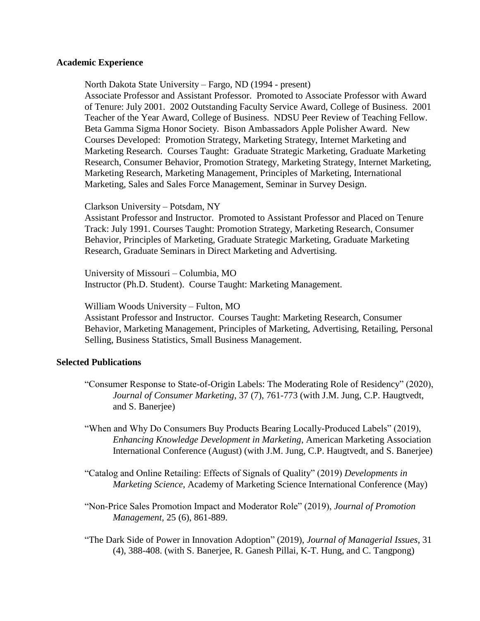#### **Academic Experience**

North Dakota State University – Fargo, ND (1994 - present)

Associate Professor and Assistant Professor. Promoted to Associate Professor with Award of Tenure: July 2001. 2002 Outstanding Faculty Service Award, College of Business. 2001 Teacher of the Year Award, College of Business. NDSU Peer Review of Teaching Fellow. Beta Gamma Sigma Honor Society. Bison Ambassadors Apple Polisher Award. New Courses Developed: Promotion Strategy, Marketing Strategy, Internet Marketing and Marketing Research. Courses Taught: Graduate Strategic Marketing, Graduate Marketing Research, Consumer Behavior, Promotion Strategy, Marketing Strategy, Internet Marketing, Marketing Research, Marketing Management, Principles of Marketing, International Marketing, Sales and Sales Force Management, Seminar in Survey Design.

#### Clarkson University – Potsdam, NY

Assistant Professor and Instructor. Promoted to Assistant Professor and Placed on Tenure Track: July 1991. Courses Taught: Promotion Strategy, Marketing Research, Consumer Behavior, Principles of Marketing, Graduate Strategic Marketing, Graduate Marketing Research, Graduate Seminars in Direct Marketing and Advertising.

University of Missouri – Columbia, MO Instructor (Ph.D. Student). Course Taught: Marketing Management.

William Woods University – Fulton, MO

Assistant Professor and Instructor. Courses Taught: Marketing Research, Consumer Behavior, Marketing Management, Principles of Marketing, Advertising, Retailing, Personal Selling, Business Statistics, Small Business Management.

#### **Selected Publications**

- "Consumer Response to State-of-Origin Labels: The Moderating Role of Residency" (2020), *Journal of Consumer Marketing*, 37 (7), 761-773 (with J.M. Jung, C.P. Haugtvedt, and S. Banerjee)
- "When and Why Do Consumers Buy Products Bearing Locally-Produced Labels" (2019), *Enhancing Knowledge Development in Marketing*, American Marketing Association International Conference (August) (with J.M. Jung, C.P. Haugtvedt, and S. Banerjee)
- "Catalog and Online Retailing: Effects of Signals of Quality" (2019) *Developments in Marketing Science*, Academy of Marketing Science International Conference (May)
- "Non-Price Sales Promotion Impact and Moderator Role" (2019), *Journal of Promotion Management*, 25 (6), 861-889.
- "The Dark Side of Power in Innovation Adoption" (2019), *Journal of Managerial Issues*, 31 (4), 388-408. (with S. Banerjee, R. Ganesh Pillai, K-T. Hung, and C. Tangpong)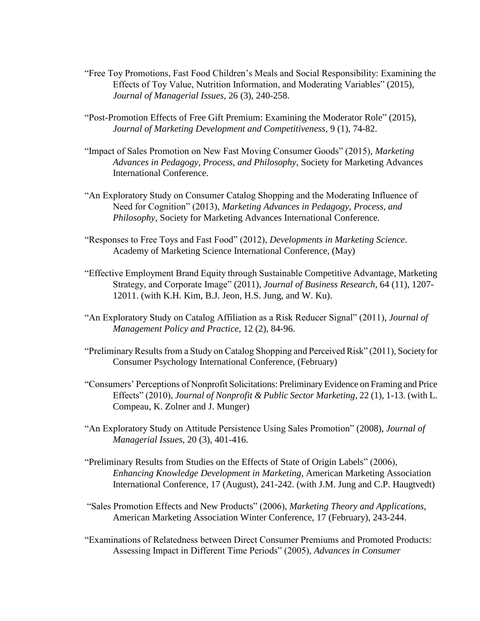- "Free Toy Promotions, Fast Food Children's Meals and Social Responsibility: Examining the Effects of Toy Value, Nutrition Information, and Moderating Variables" (2015), *Journal of Managerial Issues*, 26 (3), 240-258.
- "Post-Promotion Effects of Free Gift Premium: Examining the Moderator Role" (2015), *Journal of Marketing Development and Competitiveness*, 9 (1), 74-82.
- "Impact of Sales Promotion on New Fast Moving Consumer Goods" (2015), *Marketing Advances in Pedagogy, Process, and Philosophy*, Society for Marketing Advances International Conference.
- "An Exploratory Study on Consumer Catalog Shopping and the Moderating Influence of Need for Cognition" (2013), *Marketing Advances in Pedagogy, Process, and Philosophy*, Society for Marketing Advances International Conference.
- "Responses to Free Toys and Fast Food" (2012), *Developments in Marketing Science*. Academy of Marketing Science International Conference, (May)
- "Effective Employment Brand Equity through Sustainable Competitive Advantage, Marketing Strategy, and Corporate Image" (2011), *Journal of Business Research*, 64 (11), 1207- 12011. (with K.H. Kim, B.J. Jeon, H.S. Jung, and W. Ku).
- "An Exploratory Study on Catalog Affiliation as a Risk Reducer Signal" (2011), *Journal of Management Policy and Practice*, 12 (2), 84-96.
- "Preliminary Results from a Study on Catalog Shopping and Perceived Risk" (2011), Society for Consumer Psychology International Conference, (February)
- "Consumers' Perceptions of Nonprofit Solicitations: Preliminary Evidence on Framing and Price Effects" (2010), *Journal of Nonprofit & Public Sector Marketing*, 22 (1), 1-13. (with L. Compeau, K. Zolner and J. Munger)
- "An Exploratory Study on Attitude Persistence Using Sales Promotion" (2008), *Journal of Managerial Issues*, 20 (3), 401-416.
- "Preliminary Results from Studies on the Effects of State of Origin Labels" (2006), *Enhancing Knowledge Development in Marketing*, American Marketing Association International Conference, 17 (August), 241-242. (with J.M. Jung and C.P. Haugtvedt)
- "Sales Promotion Effects and New Products" (2006), *Marketing Theory and Applications,*  American Marketing Association Winter Conference, 17 (February), 243-244.
- "Examinations of Relatedness between Direct Consumer Premiums and Promoted Products: Assessing Impact in Different Time Periods" (2005), *Advances in Consumer*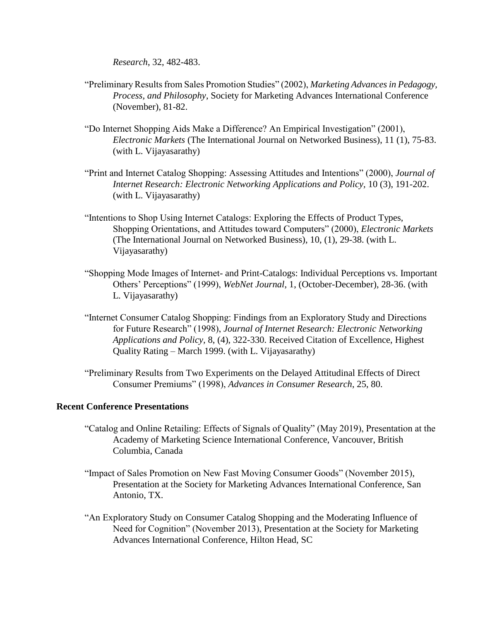*Research*, 32, 482-483.

- "Preliminary Results from Sales Promotion Studies" (2002), *Marketing Advances in Pedagogy, Process, and Philosophy*, Society for Marketing Advances International Conference (November), 81-82.
- "Do Internet Shopping Aids Make a Difference? An Empirical Investigation" (2001), *Electronic Markets* (The International Journal on Networked Business), 11 (1), 75-83. (with L. Vijayasarathy)
- "Print and Internet Catalog Shopping: Assessing Attitudes and Intentions" (2000), *Journal of Internet Research: Electronic Networking Applications and Policy, 10 (3), 191-202.* (with L. Vijayasarathy)
- "Intentions to Shop Using Internet Catalogs: Exploring the Effects of Product Types, Shopping Orientations, and Attitudes toward Computers" (2000), *Electronic Markets* (The International Journal on Networked Business), 10, (1), 29-38. (with L. Vijayasarathy)
- "Shopping Mode Images of Internet- and Print-Catalogs: Individual Perceptions vs. Important Others' Perceptions" (1999), *WebNet Journal*, 1, (October-December), 28-36. (with L. Vijayasarathy)
- "Internet Consumer Catalog Shopping: Findings from an Exploratory Study and Directions for Future Research" (1998), *Journal of Internet Research: Electronic Networking Applications and Policy,* 8, (4), 322-330. Received Citation of Excellence, Highest Quality Rating – March 1999. (with L. Vijayasarathy)
- "Preliminary Results from Two Experiments on the Delayed Attitudinal Effects of Direct Consumer Premiums" (1998), *Advances in Consumer Research*, 25, 80.

# **Recent Conference Presentations**

- "Catalog and Online Retailing: Effects of Signals of Quality" (May 2019), Presentation at the Academy of Marketing Science International Conference, Vancouver, British Columbia, Canada
- "Impact of Sales Promotion on New Fast Moving Consumer Goods" (November 2015), Presentation at the Society for Marketing Advances International Conference, San Antonio, TX.
- "An Exploratory Study on Consumer Catalog Shopping and the Moderating Influence of Need for Cognition" (November 2013), Presentation at the Society for Marketing Advances International Conference, Hilton Head, SC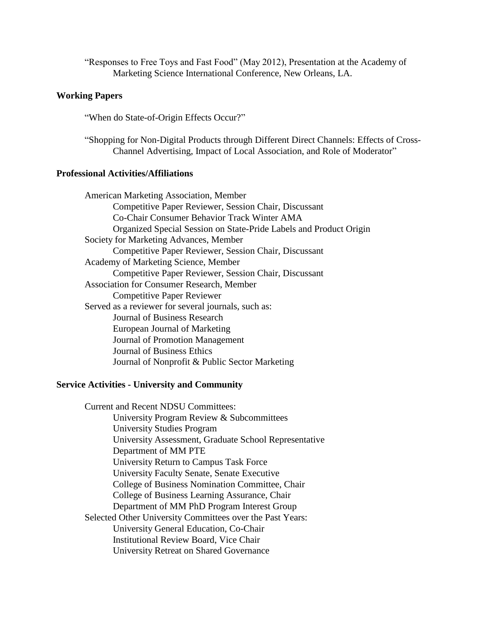"Responses to Free Toys and Fast Food" (May 2012), Presentation at the Academy of Marketing Science International Conference, New Orleans, LA.

### **Working Papers**

"When do State-of-Origin Effects Occur?"

"Shopping for Non-Digital Products through Different Direct Channels: Effects of Cross-Channel Advertising, Impact of Local Association, and Role of Moderator"

# **Professional Activities/Affiliations**

American Marketing Association, Member Competitive Paper Reviewer, Session Chair, Discussant Co-Chair Consumer Behavior Track Winter AMA Organized Special Session on State-Pride Labels and Product Origin Society for Marketing Advances, Member Competitive Paper Reviewer, Session Chair, Discussant Academy of Marketing Science, Member Competitive Paper Reviewer, Session Chair, Discussant Association for Consumer Research, Member Competitive Paper Reviewer Served as a reviewer for several journals, such as: Journal of Business Research European Journal of Marketing Journal of Promotion Management Journal of Business Ethics Journal of Nonprofit & Public Sector Marketing

#### **Service Activities - University and Community**

Current and Recent NDSU Committees: University Program Review & Subcommittees University Studies Program University Assessment, Graduate School Representative Department of MM PTE University Return to Campus Task Force University Faculty Senate, Senate Executive College of Business Nomination Committee, Chair College of Business Learning Assurance, Chair Department of MM PhD Program Interest Group Selected Other University Committees over the Past Years: University General Education, Co-Chair Institutional Review Board, Vice Chair University Retreat on Shared Governance